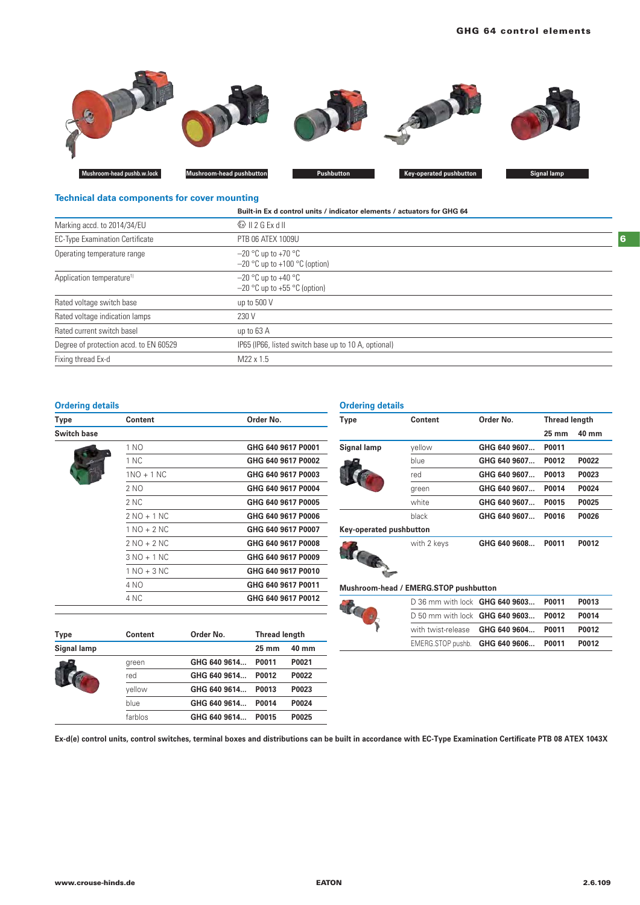

## **Technical data components for cover mounting**

| Built-in Ex d control units / indicator elements / actuators for GHG 64 |
|-------------------------------------------------------------------------|
| $\otimes$ 11 2 G Ex d II                                                |
| PTB 06 ATEX 1009U                                                       |
| $-20$ °C up to +70 °C<br>$-20$ °C up to +100 °C (option)                |
| $-20$ °C up to +40 °C<br>$-20$ °C up to +55 °C (option)                 |
| up to 500 V                                                             |
| 230 V                                                                   |
| up to 63 A                                                              |
| IP65 (IP66, listed switch base up to 10 A, optional)                    |
| M22 x 1.5                                                               |
|                                                                         |

## **Ordering details**

| Type               | Content       | Order No.          |
|--------------------|---------------|--------------------|
| <b>Switch base</b> |               |                    |
|                    | 1 NO          | GHG 640 9617 P0001 |
|                    | 1 NC          | GHG 640 9617 P0002 |
|                    | $1NO + 1 NC$  | GHG 640 9617 P0003 |
|                    | 2 NO          | GHG 640 9617 P0004 |
|                    | 2 NC          | GHG 640 9617 P0005 |
|                    | $2 NO + 1 NC$ | GHG 640 9617 P0006 |
|                    | $1 NQ + 2 NC$ | GHG 640 9617 P0007 |
|                    | $2 NO + 2 NC$ | GHG 640 9617 P0008 |
|                    | $3 NO + 1 NC$ | GHG 640 9617 P0009 |
|                    | $1 NQ + 3 NC$ | GHG 640 9617 P0010 |
|                    | 4 NO          | GHG 640 9617 P0011 |
|                    | 4 NC          | GHG 640 9617 P0012 |

| <b>Type</b> | Content | Order No.    | <b>Thread length</b> |       |
|-------------|---------|--------------|----------------------|-------|
| Signal lamp |         |              | $25 \text{ mm}$      | 40 mm |
|             | green   | GHG 640 9614 | P0011                | P0021 |
|             | red     | GHG 640 9614 | P0012                | P0022 |
|             | vellow  | GHG 640 9614 | P0013                | P0023 |
|             | blue    | GHG 640 9614 | P0014                | P0024 |
|             | farblos | GHG 640 9614 | P0015                | P0025 |

## **Ordering details**

| Type                    | Content     | Order No.    | <b>Thread length</b> |       |
|-------------------------|-------------|--------------|----------------------|-------|
|                         |             |              | $25 \text{ mm}$      | 40 mm |
| Signal lamp             | yellow      | GHG 640 9607 | P0011                |       |
|                         | blue        | GHG 640 9607 | P0012                | P0022 |
|                         | red         | GHG 640 9607 | P0013                | P0023 |
|                         | green       | GHG 640 9607 | P0014                | P0024 |
|                         | white       | GHG 640 9607 | P0015                | P0025 |
|                         | black       | GHG 640 9607 | P0016                | P0026 |
| Key-operated pushbutton |             |              |                      |       |
|                         | with 2 keys | GHG 640 9608 | P0011                | P0012 |

## **Mushroom-head / EMERG.STOP pushbutton**

|  | D 36 mm with lock <b>GHG</b>  |  |
|--|-------------------------------|--|
|  | D 50 mm with lock GHG         |  |
|  | with twist-release <b>GHG</b> |  |
|  |                               |  |

| D 36 mm with lock <b>GHG 640 9603</b>        | P0011 | P0013 |
|----------------------------------------------|-------|-------|
| D 50 mm with lock GHG 640 9603 P0012         |       | P0014 |
| with twist-release <b>GHG 640 9604 P0011</b> |       | P0012 |
| EMERG.STOP pushb. GHG 640 9606 P0011         |       | P0012 |

**Ex-d(e) control units, control switches, terminal boxes and distributions can be built in accordance with EC-Type Examination Certificate PTB 08 ATEX 1043X**